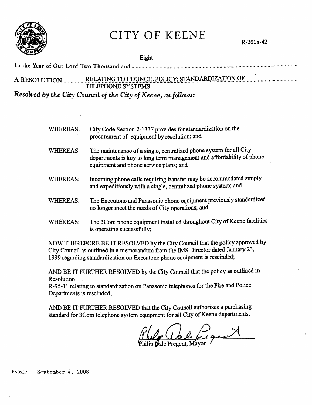

# CITY OF KEENE

R-2008-42

Eight

## In the Year of Our Lord Two Thousand and ....................................................................................................................... . A RESOLUTION ............... ~~A1JNG..IQ.G.Q"QNQ!b.f.Q1~~Y.: .. ~J.@P..M.P.gAl:!.QN.Qf. ...................................... . TELEPHONE SYSTEMS *Resolved by the City Council of the City of Keene, as follows:*

- WHEREAS: City Code Section 2-1337 provides for standardization on the procurement of equipment by resolution; and
- WHEREAS: The maintenance of a single, centralized phone system for all City departments is key to long term management and affordability of phone equipment and phone service plans; and
- WHEREAS: Incoming phone calls requiring transfer may be accommodated simply and expeditiously with a single, centralized phone system; and
- WHEREAS: The Executone and Panasonic phone equipment previously standardized no longer meet the needs of City operations; and
- WHEREAS: The 3Com phone equipment installed throughout City of Keene facilities is operating successfully;

NOW THEREFORE BE IT RESOLVED by the City Council that the policy approved by City Council as outlined in a memorandum from the IMS Director dated January 23, 1999 regarding standardization on Executone phone equipment is rescinded;

AND BE IT FURTHER RESOLVED by the City Council that the policy as outlined in Resolution .

R-95-11 relating to standardization on Panasonic telephones for the Fire and Police Departments is rescinded;

AND BE IT FURTHER RESOLVED that the City Council authorizes a purchasing standard for 3Com telephone system equipment for all City of Keene departments.

lab frequent lip Dale Pregent. Mayor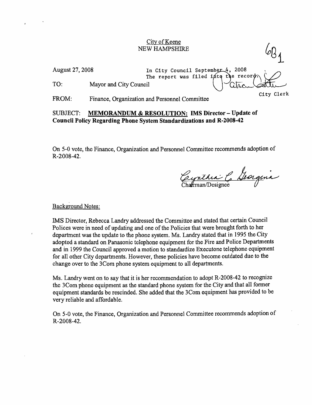#### City of Keene NEW HAMPSHIRE

August 27, 2008

In City Council September 4, 2<br>The report was filed into the In City Council September 4, 2008 008<br>record  $\bigcirc$ .<br>. August 27, 2008 In City Council September 4, 2008<br>The report was filed into the record<br>TO: Mayor and City Council Cheese Cheese Cheese Cheese

FROM: Finance, Organization and Personnel Committee

### SUBJECT: MEMORANDUM & RESOLUTION: IMS Director - Update of Council Policy Regarding Pbone System Standardizations and R-2008-42

On *5-0* vote, the Finance, Organization and Personnel Committee recommends adoption of R-2008-42.

Cynthia & Georgina

City Clerk

Background Notes:

IMS Director, Rebecca Landry addressed the Committee and stated that certain Council Polices were in need of updating and one of the Policies that were brought forth to her department was the update to the phone system. Ms. Landry stated that in 1995 the City adopted a standard on Panasonic telephone equipment for the Fire and Police Departments and in 1999 the Council approved a motion to standardize Executone telephone equipment for all other City departments. However, these policies have become outdated due to the change over to the 3Com phone system equipment to all departments.

Ms. Landry went on to say that it is her recommendation to adopt R-2008-42 to recognize the 3Com phone equipment as the standard phone system for the City and that all former equipment standards be rescinded. She added that the 3Com equipment has provided to be very reliable and affordable.

On 5-0 vote, the Finance, Organization and Personnel Committee recommends adoption of R-2008-42.